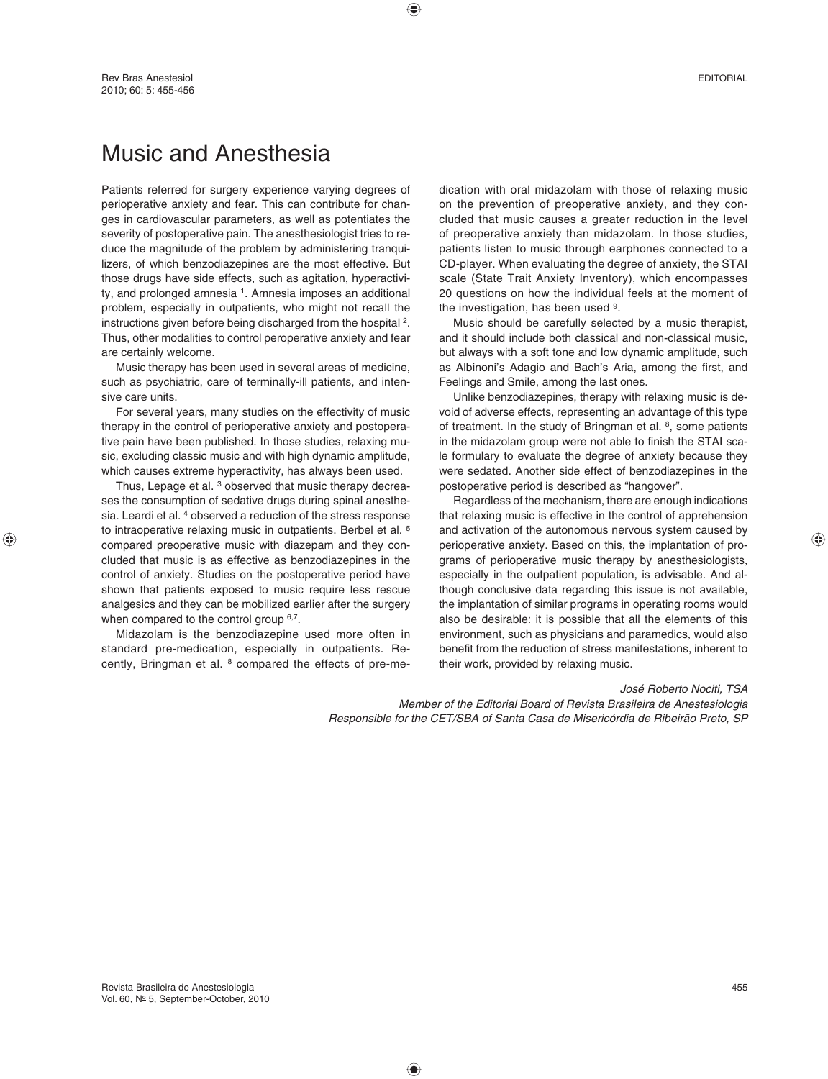## Music and Anesthesia

Patients referred for surgery experience varying degrees of perioperative anxiety and fear. This can contribute for changes in cardiovascular parameters, as well as potentiates the severity of postoperative pain. The anesthesiologist tries to reduce the magnitude of the problem by administering tranquilizers, of which benzodiazepines are the most effective. But those drugs have side effects, such as agitation, hyperactivity, and prolonged amnesia <sup>1</sup>. Amnesia imposes an additional problem, especially in outpatients, who might not recall the instructions given before being discharged from the hospital 2. Thus, other modalities to control peroperative anxiety and fear are certainly welcome.

Music therapy has been used in several areas of medicine, such as psychiatric, care of terminally-ill patients, and intensive care units.

For several years, many studies on the effectivity of music therapy in the control of perioperative anxiety and postoperative pain have been published. In those studies, relaxing music, excluding classic music and with high dynamic amplitude, which causes extreme hyperactivity, has always been used.

Thus, Lepage et al. <sup>3</sup> observed that music therapy decreases the consumption of sedative drugs during spinal anesthesia. Leardi et al. 4 observed a reduction of the stress response to intraoperative relaxing music in outpatients. Berbel et al. 5 compared preoperative music with diazepam and they concluded that music is as effective as benzodiazepines in the control of anxiety. Studies on the postoperative period have shown that patients exposed to music require less rescue analgesics and they can be mobilized earlier after the surgery when compared to the control group  $6,7$ .

Midazolam is the benzodiazepine used more often in standard pre-medication, especially in outpatients. Recently, Bringman et al. <sup>8</sup> compared the effects of pre-medication with oral midazolam with those of relaxing music on the prevention of preoperative anxiety, and they concluded that music causes a greater reduction in the level of preoperative anxiety than midazolam. In those studies, patients listen to music through earphones connected to a CD-player. When evaluating the degree of anxiety, the STAI scale (State Trait Anxiety Inventory), which encompasses 20 questions on how the individual feels at the moment of the investigation, has been used 9.

Music should be carefully selected by a music therapist, and it should include both classical and non-classical music, but always with a soft tone and low dynamic amplitude, such as Albinoni's Adagio and Bach's Aria, among the first, and Feelings and Smile, among the last ones.

Unlike benzodiazepines, therapy with relaxing music is devoid of adverse effects, representing an advantage of this type of treatment. In the study of Bringman et al. 8, some patients in the midazolam group were not able to finish the STAI scale formulary to evaluate the degree of anxiety because they were sedated. Another side effect of benzodiazepines in the postoperative period is described as "hangover".

Regardless of the mechanism, there are enough indications that relaxing music is effective in the control of apprehension and activation of the autonomous nervous system caused by perioperative anxiety. Based on this, the implantation of programs of perioperative music therapy by anesthesiologists, especially in the outpatient population, is advisable. And although conclusive data regarding this issue is not available, the implantation of similar programs in operating rooms would also be desirable: it is possible that all the elements of this environment, such as physicians and paramedics, would also benefit from the reduction of stress manifestations, inherent to their work, provided by relaxing music.

## *José Roberto Nociti, TSA*

*Member of the Editorial Board of Revista Brasileira de Anestesiologia Responsible for the CET/SBA of Santa Casa de Misericórdia de Ribeirão Preto, SP*